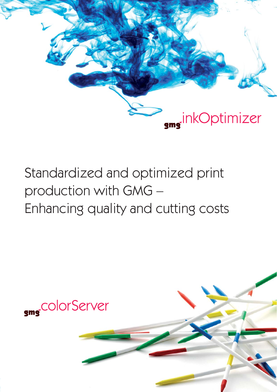

# Standardized and optimized print production with GMG – Enhancing quality and cutting costs

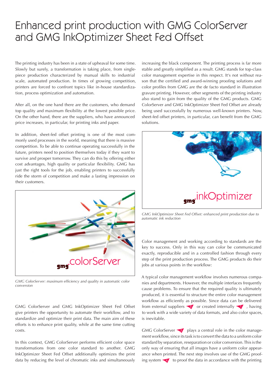# Enhanced print production with GMG ColorServer and GMG InkOptimizer Sheet Fed Offset

The printing industry has been in a state of upheaval for some time. Slowly but surely, a transformation is taking place, from singlepiece production characterized by manual skills to industrial scale, automated production. In times of growing competition, printers are forced to confront topics like in-house standardization, process optimization and automation.

After all, on the one hand there are the customers, who demand top quality and maximum flexibility at the lowest possible price. On the other hand, there are the suppliers, who have announced price increases, in particular, for printing inks and paper.

In addition, sheet-fed offset printing is one of the most commonly used processes in the world, meaning that there is massive competition. To be able to continue operating successfully in the future, printers need to position themselves today if they want to survive and prosper tomorrow. They can do this by offering either cost advantages, high quality or particular flexibility. GMG has just the right tools for the job, enabling printers to successfully ride the storm of competition and make a lasting impression on their customers.



GMG ColorServer: maximum efficiency and quality in automatic color *conversion*

GMG ColorServer and GMG InkOptimizer Sheet Fed Offset give printers the opportunity to automate their workflow, and to standardize and optimize their print data. The main aim of these efforts is to enhance print quality, while at the same time cutting costs.

In this context, GMG ColorServer performs efficient color space transformations from one color standard to another. GMG InkOptimizer Sheet Fed Offset additionally optimizes the print data by reducing the level of chromatic inks and simultaneously

increasing the black component. The printing process is far more stable and greatly simplified as a result. GMG stands for top-class color management expertise in this respect. It's not without reason that the certified and award-winning proofing solutions and color profiles from GMG are the de facto standard in illustration gravure printing. However, other segments of the printing industry also stand to gain from the quality of the GMG products. GMG ColorServer and GMG InkOptimizer Sheet Fed Offset are already being used successfully by numerous well-known printers. Now, sheet-fed offset printers, in particular, can benefit from the GMG solutions.



*GMG InkOptimizer Sheet Fed Offset: enhanced print production due to automatic ink reduction*

Color management and working according to standards are the key to success. Only in this way can color be communicated exactly, reproducible and in a controlled fashion through every step of the print production process. The GMG products do their jobs at various points in the workflow:

A typical color management workflow involves numerous companies and departments. However, the multiple interfaces frequently cause problems. To ensure that the required quality is ultimately produced, it is essential to structure the entire color management workflow as efficiently as possible. Since data can be delivered from external suppliers  $\bullet$  or created internally  $\bullet$ , having to work with a wide variety of data formats, and also color spaces, is inevitable.

GMG ColorServer <sup>3</sup> plays a central role in the color management workflow, since its task is to convert the data to a uniform color standard by separation, reseparation or color conversion. This is the only way of ensuring that all images have a uniform color appearance when printed. The next step involves use of the GMG proofing system  $\blacktriangleleft$  to proof the data in accordance with the printing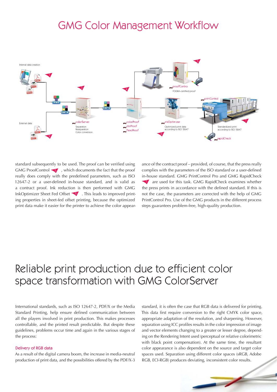# **GMG Color Management Workflow**



standard subsequently to be used. The proof can be verified using GMG ProofControl  $\blacktriangleright$  , which documents the fact that the proof really does comply with the predefined parameters, such as ISO 12647-2 or a user-defined in-house standard, and is valid as a contract proof. Ink reduction is then performed with GMG InkOptimizer Sheet Fed Offset  $\bigcirc$  . This leads to improved printing properties in sheet-fed offset printing, because the optimized print data make it easier for the printer to achieve the color appear-

ance of the contract proof – provided, of course, that the press really complies with the parameters of the ISO standard or a user-defined in-house standard. GMG PrintControl Pro and GMG RapidCheck T are used for this task. GMG RapidCheck examines whether the press prints in accordance with the defined standard. If this is not the case, the parameters are corrected with the help of GMG PrintControl Pro. Use of the GMG products in the different process steps guarantees problem-free, high-quality production.

# Reliable print production due to efficient color space transformation with GMG ColorServer

International standards, such as ISO 12647-2, PDF/X or the Media Standard Printing, help ensure defined communication between all the players involved in print production. This makes processes controllable, and the printed result predictable. But despite these guidelines, problems occur time and again in the various stages of the process:

## Delivery of RGB data

As a result of the digital camera boom, the increase in media-neutral production of print data, and the possibilities offered by the PDF/X-3

standard, it is often the case that RGB data is delivered for printing. This data first require conversion to the right CMYK color space, appropriate adaptation of the resolution, and sharpening. However, separation using ICC profiles results in the color impression of image and vector elements changing to a greater or lesser degree, depending on the Rendering Intent used (perceptual or relative colorimetric with black point compensation). At the same time, the resultant color appearance is also dependent on the source and target color spaces used. Separation using different color spaces (sRGB, Adobe RGB, ECI-RGB) produces deviating, inconsistent color results.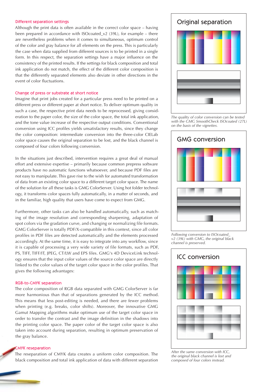#### Different separation settings

Although the print data is often available in the correct color space – having been prepared in accordance with ISOcoated v2 (39L), for example – there are nevertheless problems when it comes to simultaneous, optimum control of the color and gray balance for all elements on the press. This is particularly the case when data supplied from different sources is to be printed in a single form. In this respect, the separation settings have a major influence on the consistency of the printed results. If the settings for black composition and total ink application do not match, the effect of the different color composition is that the differently separated elements also deviate in other directions in the event of color fluctuations.

### Change of press or substrate at short notice

Imagine that print jobs created for a particular press need to be printed on a different press or different paper at short notice. To deliver optimum quality in such a case, the respective print data needs to be reprocessed, giving consideration to the paper color, the size of the color space, the total ink application, and the tone value increase of the respective output conditions. Conventional conversion using ICC profiles yields unsatisfactory results, since they change the color composition: intermediate conversion into the three-color CIELab color space causes the original separation to be lost, and the black channel is composed of four colors following conversion.

In the situations just described, intervention requires a great deal of manual effort and extensive expertise – primarily because common prepress software products have no automatic functions whatsoever, and because PDF files are not easy to manipulate. This gave rise to the wish for automated transformation of data from an existing color space to a different target color space. The name of the solution for all these tasks is GMG ColorServer. Using hot folder technology, it transforms color spaces fully automatically, in a matter of seconds, and in the familiar, high quality that users have come to expect from GMG.

Furthermore, other tasks can also be handled automatically, such as matching of the image resolution and corresponding sharpening, adaptation of spot colors via the gradation curve, and changing or normalizing file formats. GMG ColorServer is totally PDF/X-compatible in this context, since all color profiles in PDF files are detected automatically and the elements processed accordingly. At the same time, it is easy to integrate into any workflow, since it is capable of processing a very wide variety of file formats, such as PDF, PS, TIFF, TIFF/IT, JPEG, CT/LW and EPS files. GMG's 4D DeviceLink technology ensures that the input color values of the source color space are directly linked to the color values of the target color space in the color profiles. That gives the following advantages:

#### RGB-to-CMYK separation

The color composition of RGB data separated with GMG ColorServer is far more harmonious than that of separations generated by the ICC method. This means that less post-editing is needed, and there are fewer problems when printing (e.g. breaks, color shifts). Moreover, the innovative GMG Gamut Mapping algorithms make optimum use of the target color space in order to transfer the contrast and the image definition in the shadows into the printing color space. The paper color of the target color space is also taken into account during separation, resulting in optimum preservation of the gray balance.

#### CMYK reseparation

The reseparation of CMYK data creates a uniform color composition. The black composition and total ink application of data with different separation



*The quality of color conversion can be tested with the GMG SmoothCheck ISOcoated (27L) on the basis of the vignettes.*



*Following conversion to ISOcoated\_ v2 (39L) with GMG, the original black channel is preserved.*



*After the same conversion with ICC, the original black channel is lost and composed of four colors instead.*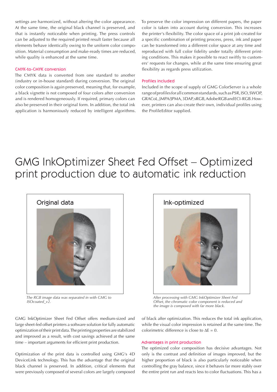settings are harmonized, without altering the color appearance. At the same time, the original black channel is preserved, and that is instantly noticeable when printing. The press controls can be adjusted to the required printed result faster because all elements behave identically owing to the uniform color composition. Material consumption and make-ready times are reduced, while quality is enhanced at the same time.

# CMYK-to-CMYK conversion

The CMYK data is converted from one standard to another (industry or in-house standard) during conversion. The original color composition is again preserved, meaning that, for example, a black vignette is not composed of four colors after conversion and is rendered homogeneously. If required, primary colors can also be preserved in their original form. In addition, the total ink application is harmoniously reduced by intelligent algorithms. To preserve the color impression on different papers, the paper color is taken into account during conversion. This increases the printer's flexibility. The color space of a print job created for a specific combination of printing process, press, ink and paper can be transformed into a different color space at any time and reproduced with full color fidelity under totally different printing conditions. This makes it possible to react swiftly to customers' requests for changes, while at the same time ensuring great flexibility as regards press utilization.

### Profiles included

Included in the scope of supply of GMG ColorServer is a whole range of profiles for all common standards, such as PSR, ISO, SWOP, GRACoL, JMPA/JPMA, 3DAP, sRGB, Adobe RGB and ECI-RGB. However, printers can also create their own, individual profiles using the ProfileEditor supplied.

# GMG InkOptimizer Sheet Fed Offset – Optimized print production due to automatic ink reduction



*The RGB image data was separated in with GMG to ISOcoated\_v2.*



*After processing with GMG InkOptimizer Sheet Fed Offset, the chromatic color component is reduced and the image is composed with far more black.*

GMG InkOptimizer Sheet Fed Offset offers medium-sized and large sheet-fed offset printers a software solution for fully automatic optimization of their print data. The printing properties are stabilized and improved as a result, with cost savings achieved at the same time – important arguments for efficient print production.

Optimization of the print data is controlled using GMG's 4D DeviceLink technology. This has the advantage that the original black channel is preserved. In addition, critical elements that were previously composed of several colors are largely composed of black after optimization. This reduces the total ink application, while the visual color impression is retained at the same time. The colorimetric difference is close to  $\Delta E = 0$ .

# Advantages in print production

The optimized color composition has decisive advantages. Not only is the contrast and definition of images improved, but the higher proportion of black is also particularly noticeable when controlling the gray balance, since it behaves far more stably over the entire print run and reacts less to color fluctuations. This has a